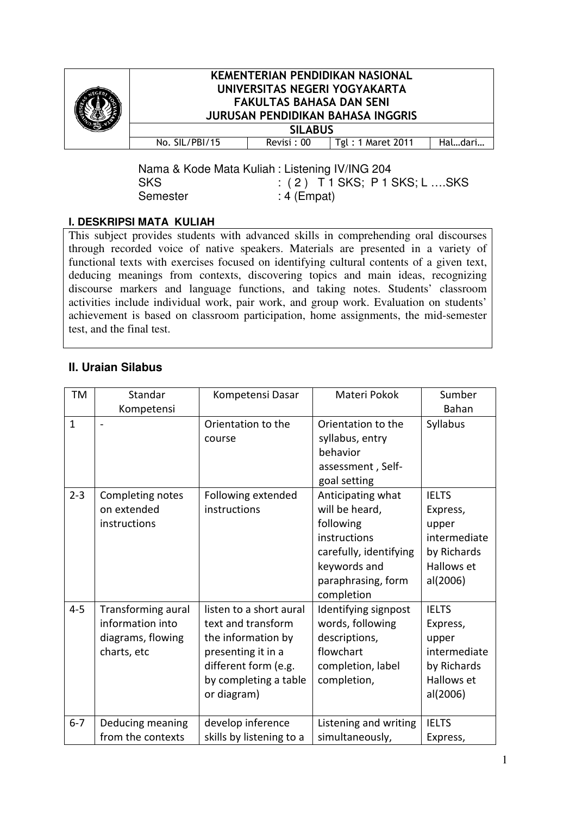

## KEMENTERIAN PENDIDIKAN NASIONAL UNIVERSITAS NEGERI YOGYAKARTA FAKULTAS BAHASA DAN SENI JURUSAN PENDIDIKAN BAHASA INGGRIS

| <b>SILABUS</b> |            |                   |         |  |
|----------------|------------|-------------------|---------|--|
| No. SIL/PBI/15 | Revisi: 00 | Tgl: 1 Maret 2011 | Haldari |  |
|                |            |                   |         |  |

Nama & Kode Mata Kuliah : Listening IV/ING 204 SKS : (2) T1 SKS; P1 SKS; L .... SKS Semester : 4 (Empat)

## **I. DESKRIPSI MATA KULIAH**

This subject provides students with advanced skills in comprehending oral discourses through recorded voice of native speakers. Materials are presented in a variety of functional texts with exercises focused on identifying cultural contents of a given text, deducing meanings from contexts, discovering topics and main ideas, recognizing discourse markers and language functions, and taking notes. Students' classroom activities include individual work, pair work, and group work. Evaluation on students' achievement is based on classroom participation, home assignments, the mid-semester test, and the final test.

## **II. Uraian Silabus**

| <b>TM</b>    | Standar                                                                    | Kompetensi Dasar                                                                                                                                          | Materi Pokok                                                                                                                                   | Sumber                                                                                     |
|--------------|----------------------------------------------------------------------------|-----------------------------------------------------------------------------------------------------------------------------------------------------------|------------------------------------------------------------------------------------------------------------------------------------------------|--------------------------------------------------------------------------------------------|
|              | Kompetensi                                                                 |                                                                                                                                                           |                                                                                                                                                | Bahan                                                                                      |
| $\mathbf{1}$ | $\overline{a}$                                                             | Orientation to the<br>course                                                                                                                              | Orientation to the<br>syllabus, entry<br>behavior<br>assessment, Self-<br>goal setting                                                         | Syllabus                                                                                   |
| $2 - 3$      | Completing notes<br>on extended<br>instructions                            | Following extended<br>instructions                                                                                                                        | Anticipating what<br>will be heard,<br>following<br>instructions<br>carefully, identifying<br>keywords and<br>paraphrasing, form<br>completion | <b>IELTS</b><br>Express,<br>upper<br>intermediate<br>by Richards<br>Hallows et<br>al(2006) |
| $4 - 5$      | Transforming aural<br>information into<br>diagrams, flowing<br>charts, etc | listen to a short aural<br>text and transform<br>the information by<br>presenting it in a<br>different form (e.g.<br>by completing a table<br>or diagram) | Identifying signpost<br>words, following<br>descriptions,<br>flowchart<br>completion, label<br>completion,                                     | <b>IELTS</b><br>Express,<br>upper<br>intermediate<br>by Richards<br>Hallows et<br>al(2006) |
| $6 - 7$      | Deducing meaning<br>from the contexts                                      | develop inference<br>skills by listening to a                                                                                                             | Listening and writing<br>simultaneously,                                                                                                       | <b>IELTS</b><br>Express,                                                                   |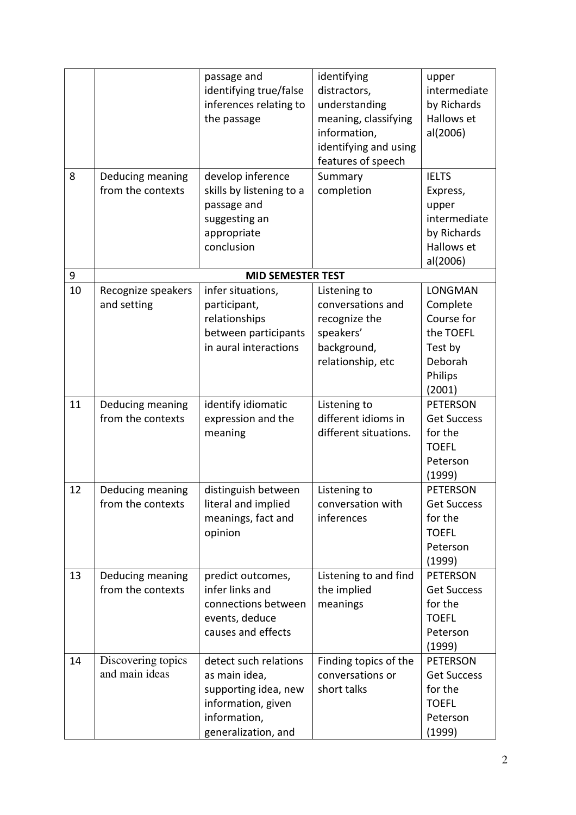|    |                                       | passage and<br>identifying true/false<br>inferences relating to<br>the passage                                              | identifying<br>distractors,<br>understanding<br>meaning, classifying<br>information,<br>identifying and using<br>features of speech | upper<br>intermediate<br>by Richards<br>Hallows et<br>al(2006)                             |
|----|---------------------------------------|-----------------------------------------------------------------------------------------------------------------------------|-------------------------------------------------------------------------------------------------------------------------------------|--------------------------------------------------------------------------------------------|
| 8  | Deducing meaning<br>from the contexts | develop inference<br>skills by listening to a<br>passage and<br>suggesting an<br>appropriate<br>conclusion                  | Summary<br>completion                                                                                                               | <b>IELTS</b><br>Express,<br>upper<br>intermediate<br>by Richards<br>Hallows et<br>al(2006) |
| 9  |                                       | <b>MID SEMESTER TEST</b>                                                                                                    |                                                                                                                                     |                                                                                            |
| 10 | Recognize speakers<br>and setting     | infer situations,<br>participant,<br>relationships<br>between participants<br>in aural interactions                         | Listening to<br>conversations and<br>recognize the<br>speakers'<br>background,<br>relationship, etc                                 | LONGMAN<br>Complete<br>Course for<br>the TOEFL<br>Test by<br>Deborah<br>Philips<br>(2001)  |
| 11 | Deducing meaning<br>from the contexts | identify idiomatic<br>expression and the<br>meaning                                                                         | Listening to<br>different idioms in<br>different situations.                                                                        | <b>PETERSON</b><br><b>Get Success</b><br>for the<br><b>TOEFL</b><br>Peterson<br>(1999)     |
| 12 | Deducing meaning<br>from the contexts | distinguish between<br>literal and implied<br>meanings, fact and<br>opinion                                                 | Listening to<br>conversation with<br>inferences                                                                                     | <b>PETERSON</b><br><b>Get Success</b><br>for the<br><b>TOEFL</b><br>Peterson<br>(1999)     |
| 13 | Deducing meaning<br>from the contexts | predict outcomes,<br>infer links and<br>connections between<br>events, deduce<br>causes and effects                         | Listening to and find<br>the implied<br>meanings                                                                                    | <b>PETERSON</b><br><b>Get Success</b><br>for the<br><b>TOEFL</b><br>Peterson<br>(1999)     |
| 14 | Discovering topics<br>and main ideas  | detect such relations<br>as main idea,<br>supporting idea, new<br>information, given<br>information,<br>generalization, and | Finding topics of the<br>conversations or<br>short talks                                                                            | <b>PETERSON</b><br><b>Get Success</b><br>for the<br><b>TOEFL</b><br>Peterson<br>(1999)     |